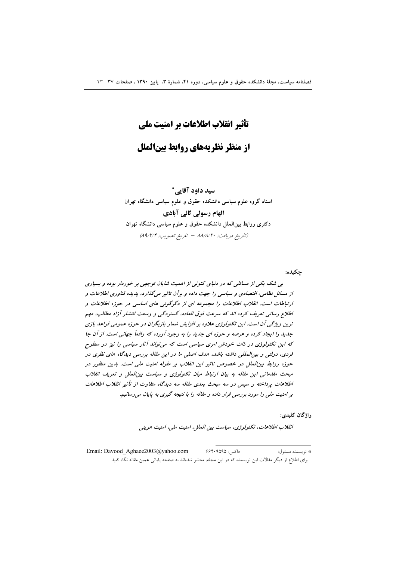# تأثير انقلاب اطلاعات بر امنيت ملي

از منظر نظریههای روابط بینالملل

سید داود آقایی\* استاد گروه علوم سیاسی دانشکده حقوق و علوم سیاسی دانشگاه تهران الهام رسولی ثانی آبادی دکتری روابط بینالملل دانشکده حقوق و علوم سیاسی دانشگاه تهران (تاريخ دريافت: ٨٨/٨/٢٠ - تاريخ تصويب: ٨٩/٢/٢)

چکیده:

بی شک یکی از مسائلی که در دنیای کنونی از اهمیت شایان توجهی بر خوردار بوده و بسیاری از مسائل نظامی، اقتصادی و سیاسی را جهت داده و برآن تاثیر می گذارد، پدیده فناوری اطلاعات و ارتباطات است. انقلاب اطلاعات را مجموعه ای از دگرگونی های اساسی در حوزه اطلاعات و اطلاع رسانی تعریف کرده اند که سرعت فوق العاده، گستردگی و وسعت انتشار آزاد مطالب، مهم ترین ویژگی آن است. این تکنولوژی علاوه بر افزایش شمار بازیگران در حوزه عمومی قواعد بازی جدید را ایجاد کرده و عرصه و حوزه ای جدید را به وجود آورده که واقعاً جهانی است. از آن جا که این تکنولوژی در ذات خودش امری سیاسی است که می تواند آثار سیاسی را نیز در سطوح فردی، دولتی و بینالمللی داشته باشد، هدف اصلی ما در این مقاله بررسی دیدگاه های نظری در حوزه روابط بین الملل در خصوص تاثیر این انقلاب بر مقوله امنیت ملی است. بدین منظور در مبحث مقدماتی این مقاله به بیان ارتباط میان تکنولوژی و سیاست بین الملل و تعریف انقلاب اطلاعات پرداخته و سپس در سه مبحث بعدی مقاله سه دیدگاه متفاوت از تأثیر انقلاب اطلاعات بر امنیت ملی را مورد بررسی قرار داده و مقاله را با نتیجه گیری به پایان می رسانیم.

واژگان کليدي:

انقلاب اطلاعات، تكنولوژي، سياست بين الملل، امنيت ملي، امنيت هويتي

فاكس: ۶۶۴۰۹۵۹۵ Email: Davood Aghaee2003@yahoo.com \* نو يسنده مسئول: برای اطلاع از دیگر مقالات این نویسنده که در این مجله، منتشر شدهاند به صفحه پایانی همین مقاله نگاه کنید.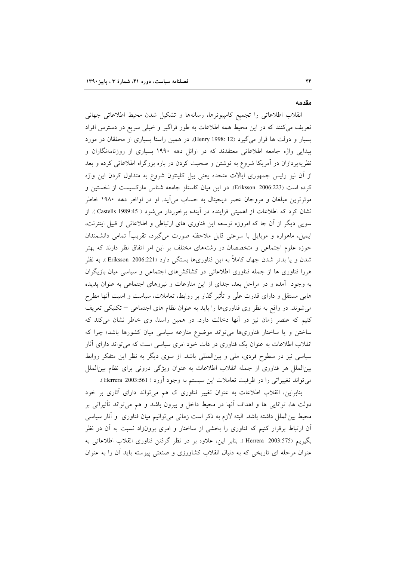#### مقدمه

انقلاب اطلاعاتی را تجمیع کامپیوترها، رسانهها و تشکیل شدن محیط اطلاعاتی جهانی تعریف می کنند که در این محیط همه اطلاعات به طور فراگیر و خیلی سریع در دسترس افراد بسیار و دولت ها قرار می گیرد (Henry 1998: 12). در همین راستا بسیاری از محققان در مورد پیدایی واژه جامعه اطلاعاتی معتقدند که در اوائل دهه ۱۹۹۰ بسیاری از روزنامهنگاران و نظریهپردازان در آمریکا شروع به نوشتن و صحبت کردن در باره بزرگراه اطلاعاتی کرده و بعد از آن نیز رئیس جمهوری ایالات متحده یعنی بیل کلینتون شروع به متداول کردن این واژه كرده است (Eriksson 2006:223). در اين ميان كاستلز جامعه شناس ماركسيست از نخستين و موثرترین مبلغان و مروجان عصر دیجیتال به حساب می آید. او در اواخر دهه ۱۹۸۰ خاطر نشان کرد که اطلاعات از اهمیتی فزاینده در آینده برخوردار می شود ( Castells 1989:45 ). از سویی دیگر از آن جا که امروزه توسعه این فناوری های ارتباطی و اطلاعاتی از قبیل اینترنت، ایمیل، ماهواره و موبایل با سرعتی قابل ملاحظه صورت میگیرد، تقریباً تمامی دانشمندان حوزه علوم اجتماعی و متخصصان در رشتههای مختلف بر این امر اتفاق نظر دارند که بهتر شدن و یا بدتر شدن جهان کاملاً به این فناوریها بستگی دارد (Eriksson 2006:221 ). به نظر هررا فناوری ها از جمله فناوری اطلاعاتی در کشاکشهای اجتماعی و سیاسی میان بازیگران به وجود آمده و در مراحل بعد، جدای از این منازعات و نیروهای اجتماعی به عنوان پدیده هایی مستقل و دارای قدرت علّی و تأثیر گذار بر روابط، تعاملات، سیاست و امنیت آنها مطرح می شوند. در واقع به نظر وی فناوریها را باید به عنوان نظام های اجتماعی – تکنیکی تعریف کنیم که عنصر زمان نیز در آنها دخالت دارد. در همین راستا، وی خاطر نشان میکند که ساختن و یا ساختار فناوریها میتواند موضوع منازعه سیاسی میان کشورها باشد؛ چرا که انقلاب اطلاعات به عنوان یک فناوری در ذات خود امری سیاسی است که میتواند دارای آثار سیاسی نیز در سطوح فردی، ملی و بینالمللی باشد. از سوی دیگر به نظر این متفکر روابط بینالملل هر فناوری از جمله انقلاب اطلاعات به عنوان ویژگی درونی برای نظام بین|لملل می تواند تغییراتی را در ظرفیت تعاملات این سیستم به وجود آورد ( Herrera 2003:561 ).

بنابراین، انقلاب اطلاعات به عنوان تغییر فناوری ک هم میتواند دارای آثاری بر خود دولت ها، توانایی ها و اهداف آنها در محیط داخل و بیرون باشد و هم میٍتواند تأثیراتی بر محیط بینالملل داشته باشد. البته لازم به ذکر است زمانی میتوانیم میان فناوری ًو آثار سیاسی آن ارتباط برقرار کنیم که فناوری را بخشی از ساختار و امری برونزاد نسبت به آن در نظر بگيريم (575:Herrera 2003 ). بنابر اين، علاوه بر در نظر گرفتن فناوري انقلاب اطلاعاتي به عنوان مرحله ای تاریخی که به دنبال انقلاب کشاورزی و صنعتی پیوسته باید أن را به عنوان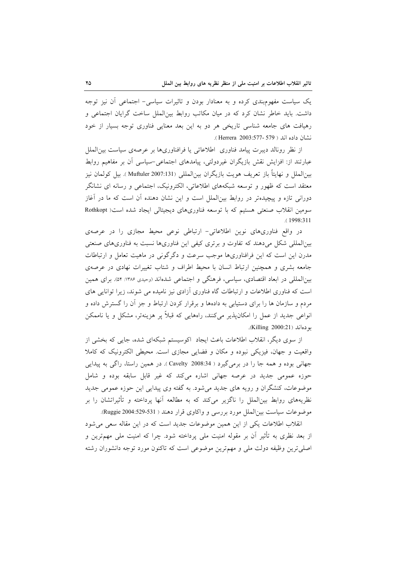یک سیاست مفهومبندی کرده و به معنادار بودن و تاثیرات سیاسی- اجتماعی أن نیز توجه داشت. باید خاطر نشان کرد که در میان مکاتب روابط بین(لملل ساخت گرایان اجتماعی و رهیافت های جامعه شناسی تاریخی هر دو به این بعد معنایی فناوری توجه بسیار از خود نشان داده اند ( Herrera 2003:577- 579 ).

از نظر رونالد دیبرت پیامد فناوری اطلاعاتی یا فرافناوریها بر عرصهی سیاست بین|لملل عبارتند از: افزایش نقش بازیگران غیردولتی، پیامدهای اجتماعی–سیاسی أن بر مفاهیم روابط بين|لملل و نهايتاً باز تعريف هويت بازيگران بين|لمللي Muftuler 2007:131). بيل كولمان نيز معتقد است که ظهور و توسعه شبکههای اطلاعاتی، الکترونیک، اجتماعی و رسانه ای نشانگر دورانی تازه و پیچیدهتر در روابط بین|لملل است و این نشان دهنده آن است که ما در آغاز سومین انقلاب صنعتی هستیم که با توسعه فناوریهای دیجیتالی ایجاد شده است( Rothkopt .(1998:311

در واقع فناوریهای نوین اطلاعاتی- ارتباطی نوعی محیط مجازی را در عرصهی بینالمللی شکل میدهند که تفاوت و برتری کیفی این فناوریها نسبت به فناوریهای صنعتی مدرن این است که این فرافناوریها موجب سرعت و دگرگونی در ماهیت تعامل و ارتباطات جامعه بشری و همچنین ارتباط انسان با محیط اطراف و شتاب تغییرات نهادی در عرصهی بینالمللی در ابعاد اقتصادی، سیاسی، فرهنگی و اجتماعی شدهاند (وحیدی ۱۳۸۶: ۵۴). برای همین است که فناوری اطلاعات و ارتباطات گاه فناوری آزادی نیز نامیده می شوند، زیرا توانایی های مردم و سازمان ها را برای دستیابی به دادهها و برقرار کردن ارتباط و جز آن را گسترش داده و انواعی جدید از عمل را امکان پذیر میکنند، راههایی که قبلاً بر هزینهتر، مشکل و یا ناممکن بو دهاند (Killing 2000:21).

از سوی دیگر، انقلاب اطلاعات باعث ایجاد اکوسیستم شبکهای شده، جایی که بخشی از واقعیت و جهان، فیزیکی نبوده و مکان و فضایی مجازی است. محیطی الکترونیک که کاملا جهانی بوده و همه جا را در برمی گیرد ( Cavelty 2008:34 ). در همین راستا، راگی به پیدایی حوزه عمومی جدید در عرصه جهانی اشاره میکند که غیر قابل سابقه بوده و شامل موضوعات، کنشگران و رویه های جدید میشود. به گفته وی پیدایی این حوزه عمومی جدید نظریههای روابط بین|لملل را ناگزیر میکند که به مطالعه آنها پرداخته و تأثیراتشان را بر موضوعات سياست بين|لملل مورد بررسي و واكاوي قرار دهند ( Ruggie 2004:529-531).

انقلاب اطلاعات یکی از این همین موضوعات جدید است که در این مقاله سعی می شود از بعد نظری به تأثیر اَن بر مقوله امنیت ملی پرداخته شود. چرا که امنیت ملی مهمترین و اصلی ترین وظیفه دولت ملی و مهم ترین موضوعی است که تاکنون مورد توجه دانشوران رشته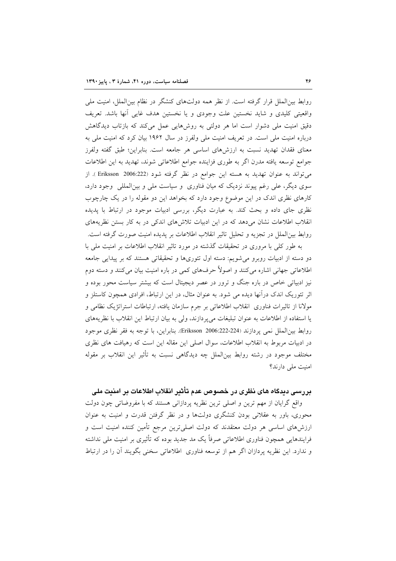روابط بین|لملل قرار گرفته است. از نظر همه دولتهای کنشگر در نظام بین|لملل، امنیت ملی واقعیتی کلیدی و شاید نخستین علت وجودی و یا نخستین هدف غایی آنها باشد. تعریف دقیق امنیت ملی دشوار است اما هر دولتی به روشهایی عمل میکند که بازتاب دیدگاهش درباره امنیت ملی است. در تعریف امنیت ملی ولفرز در سال ۱۹۶۲ بیان کرد که امنیت ملی به معنای فقدان تهدید نسبت به ارزشهای اساسی هر جامعه است. بنابراین؛ طبق گفته ولفرز جوامع توسعه يافته مدرن اگر به طورى فزاينده جوامع اطلاعاتي شوند، تهديد به اين اطلاعات می تواند به عنوان تهدید به هسته این جوامع در نظر گرفته شود (Eriksson 2006:222 ). از سوی دیگر، علی رغم پیوند نزدیک که میان فناوری و سیاست ملی و بینالمللی وجود دارد، کارهای نظری اندک در این موضوع وجود دارد که بخواهد این دو مقوله را در یک چارچوب نظری جای داده و بحث کند. به عبارت دیگر، بررسی ادبیات موجود در ارتباط با پدیده انقلاب اطلاعات نشان می دهد که در این ادبیات تلاشهای اندکی در به کار بستن نظریههای روابط بین|لملل در تجزیه و تحلیل تاثیر انقلاب اطلاعات بر پدیده امنیت صورت گرفته است.

به طور کلی با مروری در تحقیقات گذشته در مورد تاثیر انقلاب اطلاعات بر امنیت ملی با دو دسته از ادبیات روبرو میشویم: دسته اول تئوریها و تحقیقاتی هستند که بر پیدایی جامعه اطلاعاتی جهانی اشاره میکنند و اصولاً حرفهای کمی در باره امنیت بیان میکنند و دسته دوم نیز ادبیاتی خاص در باره جنگ و ترور در عصر دیجیتال است که بیشتر سیاست محور بوده و اثر تئوریک اندک درآنها دیده می شود. به عنوان مثال، در این ارتباط، افرادی همچون کاستلز و مولانا از تاثيرات فناوري انقلاب اطلاعاتي بر جرم سازمان يافته، ارتباطات استراتژيک نظامي و يا استفاده از اطلاعات به عنوان تبليغات مي يردازند، ولي به بيان ارتباط اين انقلاب با نظريههاي روابط بين|لملل نمي پردازند (224-222:2006 Eriksson). بنابراين، با توجه به فقر نظري موجود در ادبیات مربوط به انقلاب اطلاعات، سوال اصلی این مقاله این است که رهیافت های نظری مختلف موجود در رشته روابط بینالملل چه دیدگاهی نسبت به تأثیر این انقلاب بر مقوله امنیت ملی دارند؟

## بررسی دیدگاه های نظری در خصوص عدم تأثیر انقلاب اطلاعات بر امنیت ملی

واقع گرایان از مهم ترین و اصلی ترین نظریه پردازانی هستند که با مفروضاتی چون دولت محوری، باور به عقلانی بودن کنشگری دولتها و در نظر گرفتن قدرت و امنیت به عنوان ارزشهای اساسی هر دولت معتقدند که دولت اصلی ترین مرجع تأمین کننده امنیت است و فرایندهایی همچون فناوری اطلاعاتی صرفاً یک مد جدید بوده که تأثیری بر امنیت ملی نداشته و ندارد. این نظریه پردازان اگر هم از توسعه فناوری اطلاعاتی سخنی بگویند آن را در ارتباط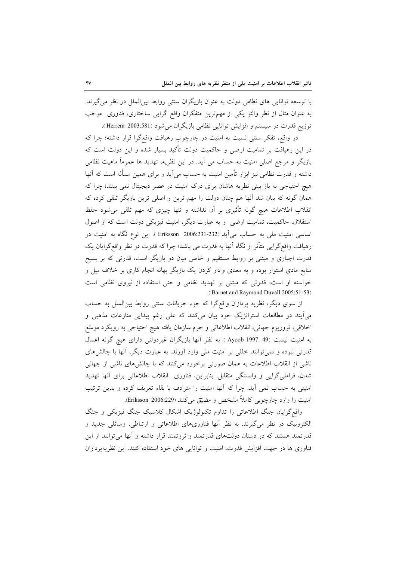با توسعه توانایی های نظامی دولت به عنوان بازیگران سنتی روابط بینالملل در نظر می گیرند. به عنوان مثال از نظر والتز یکی از مهمترین متفکران واقع گرایی ساختاری، فناوری ً موجب توزيع قدرت در سيستم و افزايش توانايي نظامي بازيگران مي شود (Herrera 2003:581).

در واقع، تفکر سنتی نسبت به امنیت در چارچوب رهیافت واقع گرا قرار داشته؛ چرا که در این رهیافت بر تمامیت ارضی و حاکمیت دولت تأکید بسیار شده و این دولت است که بازیگر و مرجع اصلی امنیت به حساب می آید. در این نظریه، تهدید ها عموماً ماهیت نظامی داشته و قدرت نظامی نیز ابزار تأمین امنیت به حساب می آید و برای همین مسأله است که آنها هیچ احتیاجی به باز بینی نظریه هاشان برای درک امنیت در عصر دیجیتال نمی بینند؛ چرا که همان گونه که بیان شد اّنها هم چنان دولت را مهم ترین و اصلی ترین بازیگر تلقی کرده که انقلاب اطلاعات هیچ گونه تأثیری بر آن نداشته و تنها چیزی که مهم تلقی میشود حفظ استقلال، حاکمیت، تمامیت ارضی و به عبارت دیگر، امنیت فیزیکی دولت است که از اصول اساسی امنیت ملی به حساب می[ید (232-231:2300 Eriksson ). این نوع نگاه به امنیت در رهیافت واقع گرایی متأثر از نگاه آنها به قدرت می باشد؛ چرا که قدرت در نظر واقع گرایان یک قدرت اجباری و مبتنی بر روابط مستقیم و خاص میان دو بازیگر است، قدرتی که بر بسیج منابع مادی استوار بوده و به معنای وادار کردن یک بازیگر بهانه انجام کاری بر خلاف میل و خواسته او است، قدرتی که مبتنی بر تهدید نظامی و حتی استفاده از نیروی نظامی است .(Barnet and Raymond Duvall 2005:51-53)

از سوی دیگر، نظریه پردازان واقعگرا که جزء جریانات سنتی روابط بین(لملل به حساب می ایند در مطالعات استراتژیک خود بیان میکنند که علی رغم پیدایی منازعات مذهبی و اخلاقی، تروریزم جهانی، انقلاب اطلاعاتی و جرم سازمان یافته هیچ احتیاجی به رویکرد موسّع به امنیت نیست (49 .4997 Ayoob ). به نظر آنها بازیگران غیردولتی دارای هیچ گونه اعمال قدرتی نبوده و نمیتوانند خللی بر امنیت ملی وارد اَورند. به عبارت دیگر، اَنها با چالشهای ناشی از انقلاب اطلاعات به همان صورتی برخورد میکنند که با چالشهای ناشی از جهانی شدن، فراملي گرايي و وابستگي متقابل. بنابراين، فناوري انقلاب اطلاعاتي براي آنها تهديد امنیتی به حساب نمی آید. چرا که آنها امنیت را مترادف با بقاء تعریف کرده و بدین ترتیب امنيت را وارد چارچوبي كاملاً مشخص و مضيّق مي كنند (Eriksson 2006:229).

واقع گرایان جنگ اطلاعاتی را تداوم تکنولوژیک اشکال کلاسیک جنگ فیزیکی و جنگ الکترونیک در نظر میگیرند. به نظر آنها فناوریهای اطلاعاتی و ارتباطی، وسائلی جدید و قدرتمند هستند که در دستان دولتهای قدرتمند و ثروتمند قرار داشته و آنها میتوانند از این فناوری ها در جهت افزایش قدرت، امنیت و توانایی های خود استفاده کنند. این نظریه پردازان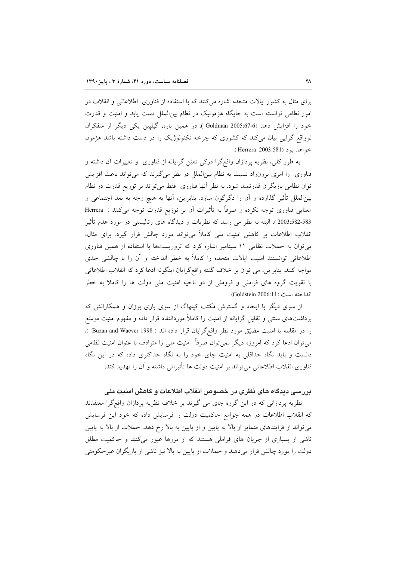برای مثال به کشور ایالات متحده اشاره میکنند که با استفاده از فناوری اطلاعاتی و انقلاب در امور نظامی توانسته است به جایگاه هژمونیک در نظام بین الملل دست یابد و امنیت و قدرت خود را افزایش دهد (6-67:67 Goldman 2005). در همین باره، گیلیین یکی دیگر از متفکران نوواقع گرایی بیان میکند که کشوری که چرخه تکنولوژیک را در دست داشته باشد هژمون خواهد بود (Herrera 2003:581).

به طور کلی، نظریه پردازان واقعگرا درکی تعیّن گرایانه از فناوری و تغییرات آن داشته و فناوری را امری برونزاد نسبت به نظام بین الملل در نظر میگیرند که می تواند باعث افزایش توان نظامی بازیگران قدرتمند شود. به نظر آنها فناوری فقط می تواند بر توزیع قدرت در نظام بین|لملل تأثیر گذارده و اّن را دگرگون سازد. بنابراین، اّنها به هیچ وجه به بعد اجتماعی و معنایی فناوری توجه نکرده و صرفاً به تأثیرات آن بر توزیع قدرت توجه می کنند ( Herrera 583-582.2003). البته به نظر مي رسد كه نظريات و ديدگاه هاي رئاليستي در مورد عدم تأثير انقلاب اطلاعات بر کاهش امنیت ملی کاملاً میتواند مورد چالش قرار گیرد. برای مثال، می توان به حملات نظامی ١١ سپتامبر اشاره كرد كه تروریستها با استفاده از همین فناوری اطلاعاتی توانستند امنیت ایالات متحده را کاملاً به خطر انداخته و آن را با چالشی جدی مواجه کنند. بنابراین، می توان بر خلاف گفته واقع گرایان اینگونه ادعا کرد که انقلاب اطلاعاتی با تقویت گروه های فراملی و فروملی از دو ناحیه امنیت ملی دولت ها را کاملا به خطر انداخته است (Goldstein 2006:11).

از سوی دیگر با ایجاد و گسترش مکتب کینهاگ از سوی باری بوزان و همکارانش که برداشتهای سنتی و تقلیل گرایانه از امنیت را کاملاً موردانتقاد قرار داده و مفهوم امنیت موسّع را در مقابله با امنیت مضیّق مورد نظر واقع گرایان قرار داده اند ( Buzan and Waever 1998 )، می توان ادعا کرد که امروزه دیگر نمی توان صرفاً امنیت ملی را مترادف با عنوان امنیت نظامی دانست و باید نگاه حداقلی به امنیت جای خود را به نگاه حداکثری داده که در این نگاه فناوری انقلاب اطلاعاتی میïواند بر امنیت دولت ها تأثیراتی داشته و آن را تهدید کند.

## بررسی دیدگاه های نظری در خصوص انقلاب اطلاعات و کاهش امنیت ملی

نظریه پردازانی که در این گروه جای می گیرند بر خلاف نظریه پردازان واقع گرا معتقدند که انقلاب اطلاعات در همه جوامع حاکمیت دولت را فرسایش داده که خود این فرسایش می تواند از فرایندهای متمایز از بالا به پایین و از پایین به بالا رخ دهد. حملات از بالا به پایین ناشی از بسیاری از جریان های فراملی هستند که از مرزها عبور میکنند و حاکمیت مطلق دولت را مورد چالش قرار میدهند و حملات از پایین به بالا نیز ناشی از بازیگران غیرحکومتی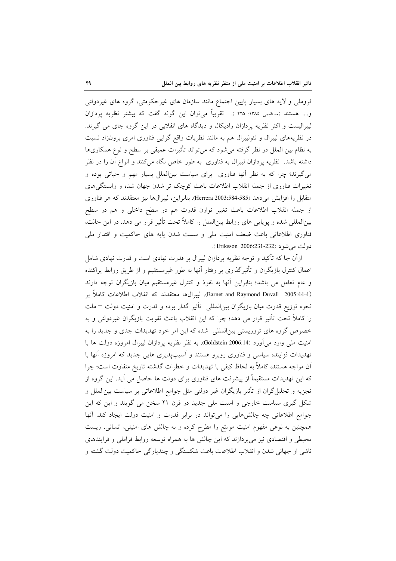فروملی و لایه های بسیار پایین اجتماع مانند سازمان های غیرحکومتی، گروه های غیردولتی و.... هستند (مستقيمي ١٣٨٥: ٢٢٥ ). تقريباً مي توان اين گونه گفت كه بيشتر نظريه پردازان لیبرالیست و اکثر نظریه پردازان رادیکال و دیدگاه های انقلابی در این گروه جای می گیرند. در نظریههای لیبرال و نئولیبرال هم به مانند نظریات واقع گرایی فناوری امری برونزاد نسبت به نظام بین الملل در نظر گرفته می شود که می تواند تأثیرات عمیقی بر سطح و نوع همکاریها داشته باشد. نظریه پردازان لیبرال به فناوری به طور خاص نگاه میکنند و انواع آن را در نظر میگیرند؛ چرا که به نظر آنها فناوری برای سیاست بینالملل بسیار مهم و حیاتی بوده و تغییرات فناوری از جمله انقلاب اطلاعات باعث کوچک تر شدن جهان شده و وابستگیهای متقابل را افزایش می دهد (585-584-Herrera 2003.584). بنابراین، لیبرالها نیز معتقدند که هر فناوری از جمله انقلاب اطلاعات باعث تغيير توازن قدرت هم در سطح داخلي و هم در سطح بین|لمللی شده و یوپایی های روابط بین|لملل را کاملاً تحت تأثیر قرار می دهد. در این حالت، فناوری اطلاعاتی باعث ضعف امنیت ملی و سست شدن پایه های حاکمیت و اقتدار ملی دولت مي شود (Eriksson 2006:231-232 ).

ازآن جا که تأکید و توجه نظریه پردازان لیبرال بر قدرت نهادی است و قدرت نهادی شامل اعمال کنترل بازیگران و تأثیرگذاری بر رفتار آنها به طور غیرمستقیم و از طریق روابط پراکنده و عام تعامل می باشد؛ بنابراین آنها به نفوذ و کنترل غیرمستقیم میان بازیگران توجه دارند (Barnet and Raymond Duvall 2005:44-4). ليبرال8ا معتقدند كه انقلاب اطلاعات كاملاً بر نحوه توزیع قدرت میان بازیگران بین|لمللی ۖ تأثیر گذار بوده و قدرت و امنیت دولت —ملت را كاملاً تحت تأثير قرار مي دهد؛ چرا كه اين انقلاب باعث تقويت بازيگران غيردولتي و به خصوص گروه های تروریستی بین|لمللی شده که این امر خود تهدیدات جدی و جدید را به امنیت ملی وارد می آورد (Goldstein 2006:14). به نظر نظریه پردازان لیبرال امروزه دولت ها با تهدیدات فزاینده سیاسی و فناوری روبرو هستند و آسیبپذیری هایی جدید که امروزه آنها با آن مواجه هستند، کاملاً به لحاظ کیفی با تهدیدات و خطرات گذشته تاریخ متفاوت است؛ چرا که این تهدیدات مستقیماً از پیشرفت های فناوری برای دولت ها حاصل می آید. این گروه از تجزیه و تحلیل گران از تأثیر بازیگران غیر دولتی مثل جوامع اطلاعاتی بر سیاست بین|لملل و شکل گیری سیاست خارجی و امنیت ملی جدید در قرن ۲۱ سخن می گویند و این که این جوامع اطلاعاتی چه چالشهایی را می تواند در برابر قدرت و امنیت دولت ایجاد کند. آنها همچنین به نوعی مفهوم امنیت موسّع را مطرح کرده و به چالش های امنیتی، انسانی، زیست محیطی و اقتصادی نیز میپردازند که این چالش ها به همراه توسعه روابط فراملی و فرایندهای ناشي از جهاني شدن و انقلاب اطلاعات باعث شكستگي و چندپارگي حاكميت دولت گشته و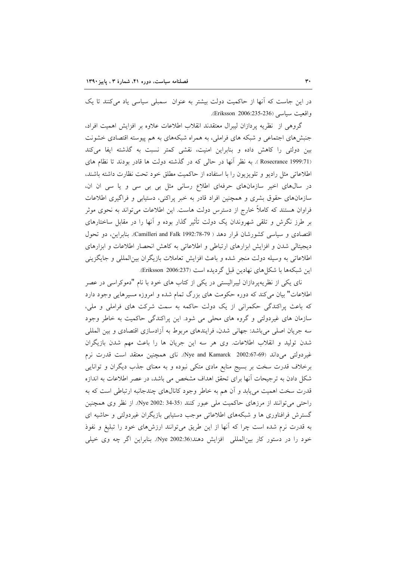در این جاست که آنها از حاکمیت دولت بیشتر به عنوان سمبلی سیاسی یاد میکنند تا یک واقعت سياسي (Eriksson 2006:235-236).

گروهی از نظریه پردازان لیبرال معتقدند انقلاب اطلاعات علاوه بر افزایش اهمیت افراد، جنبشهای اجتماعی و شبکه های فراملی، به همراه شبکههای به هم پیوسته اقتصادی خشونت بین دولتی را کاهش داده و بنابراین امنیت، نقشی کمتر نسبت به گذشته ایفا میکند (Rosecrance 1999:71 ). به نظر أنها در حالي كه در گذشته دولت ها قادر بودند تا نظام هاى اطلاعاتی مثل رادیو و تلویزیون را با استفاده از حاکمیت مطلق خود تحت نظارت داشته باشند، در سال های اخیر سازمان های حرفهای اطلاع رسانی مثل بی بی سی و یا سی ان ان، سازمانهای حقوق بشری و همچنین افراد قادر به خبر پراکنی، دستیابی و فراگیری اطلاعات فراوان هستند که کاملاً خارج از دسترس دولت هاست. این اطلاعات می تواند به نحوی موثر بر طرز نگرش و تلقی شهروندان یک دولت تأثیر گذار بوده و آنها را در مقابل ساختارهای اقتصادی و سیاسی کشورشان قرار دهد ( Camilleri and Falk 1992:78-79). بنابراین، دو تحول دیجیتالی شدن و افزایش ابزارهای ارتباطی و اطلاعاتی به کاهش انحصار اطلاعات و ابزارهای اطلاعاتی به وسیله دولت منجر شده و باعث افزایش تعاملات بازیگران بین المللی و جایگزینی اين شبكهها با شكل هاي نهادين قبل گرديده است (Eriksson 2006:237).

نای یکی از نظریهپردازان لیبرالیستی در یکی از کتاب های خود با نام "دموکراسی در عصر اطلاعات" بیان میکند که دوره حکومت های بزرگ تمام شده و امروزه مسیرهایی وجود دارد که باعث پراکندگی حکمرانی از یک دولت حاکمه به سمت شرکت های فراملی و ملی، سازمان های غیردولتی و گروه های محلی می شود. این پراکندگی حاکمیت به خاطر وجود سه جریان اصلی میباشد: جهانی شدن، فرایندهای مربوط به أزادسازی اقتصادی و بین المللی شدن تولید و انقلاب اطلاعات. وی هر سه این جریان ها را باعث مهم شدن بازیگران غیردولتی می داند (Nye and Kamarck 2002:67-69). نای همچنین معتقد است قدرت نرم برخلاف قدرت سخت بر بسیج منابع مادی متکی نبوده و به معنای جذب دیگران و توانایی شکل دادن به ترجیحات آنها برای تحقق اهداف مشخص می باشد، در عصر اطلاعات به اندازه قدرت سخت اهمیت می پابد و آن هم به خاطر وجود کانالهای چندجانبه ارتباطی است که به راحتی می توانند از مرزهای حاکمیت ملی عبور کنند (34-34 :Nye 2002). از نظر وی همچنین گسترش فرافناوری ها و شبکههای اطلاعاتی موجب دستیابی بازیگران غیردولتی و حاشیه ای به قدرت نرم شده است چرا که أنها از این طریق میتوانند ارزش۵ای خود را تبلیغ و نفوذ خود را در دستور کار بین|لمللی افزایش دهند(36:300 Nye). بنابراین اگر چه وی خیلی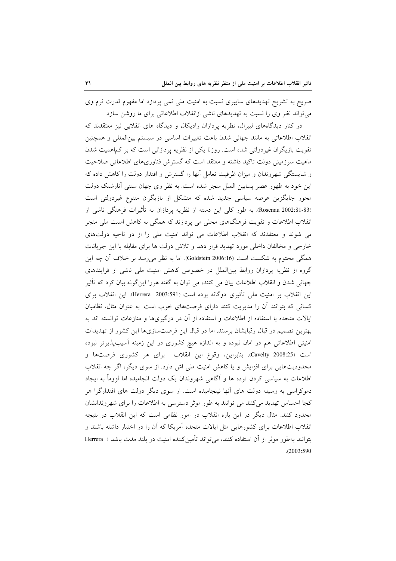صریح به تشریح تهدیدهای سایبری نسبت به امنیت ملی نمی پردازد اما مفهوم قدرت نرم وی می تواند نظر وی را نسبت به تهدیدهای ناشی ازانقلاب اطلاعاتی برای ما روشن سازد.

در کنار دیدگاههای لیبرال، نظریه پردازان رادیکال و دیدگاه های انقلابی نیز معتقدند که انقلاب اطلاعاتی به مانند جهانی شدن باعث تغییرات اساسی در سیستم بین المللی و همچنین تقویت بازیگران غیردولتی شده است. روزنا یکی از نظریه پردازانی است که بر کم\همیت شدن ماهیت سرزمینی دولت تاکید داشته و معتقد است که گسترش فناوریهای اطلاعاتی صلاحیت و شایستگی شهروندان و میزان ظرفیت تعامل آنها را گسترش و اقتدار دولت را کاهش داده که این خود به ظهور عصر پسابین الملل منجر شده است. به نظر وی جهان سنتی آنارشیک دولت محور جایگزین عرصه سیاسی جدید شده که متشکل از بازیگران متنوع غیردولتی است (Rosenau 2002:81-83). به طور كلي اين دسته از نظريه پردازان به تأثيرات فرهنگي ناشي از انقلاب اطلاعات و تقویت فرهنگهای محلی می پردازند که همگی به کاهش امنیت ملی منجر می شوند و معتقدند که انقلاب اطلاعات می تواند امنیت ملی را از دو ناحیه دولتهای خارجی و مخالفان داخلی مورد تهدید قرار دهد و تلاش دولت ها برای مقابله با این جریانات همگی محتوم به شکست است Goldstein 2006:16). اما به نظر میرسد بر خلاف آن چه این گروه از نظریه پردازان روابط بینالملل در خصوص کاهش امنیت ملی ناشی از فرایندهای جهانی شدن و انقلاب اطلاعات بیان می کنند، می توان به گفته هررا این گونه بیان کرد که تأثیر این انقلاب بر امنیت ملی تأثیری دوگانه بوده است (Herrera 2003:591). این انقلاب برای کسانی که بتوانند آن را مدیریت کنند دارای فرصتهای خوب است. به عنوان مثال، نظامیان ایالات متحده با استفاده از اطلاعات و استفاده از آن در درگیریها و منازعات توانسته اند به بهترین تصمیم در قبال رقبایشان برسند. اما در قبال این فرصتسازیها این کشور از تهدیدات امنیتی اطلاعاتی هم در امان نبوده و به اندازه هیچ کشوری در این زمینه آسیبپذیرتر نبوده است (2008:25 ).Cavelty . بنابراين، وقوع اين انقلاب براي هر كشوري فرصتها و محدودیتهایی برای افزایش و یا کاهش امنیت ملی اش دارد. از سوی دیگر، اگر چه انقلاب اطلاعات به سیاسی کردن توده ها و آگاهی شهروندان یک دولت انجامیده اما لزوماً به ایجاد دموکراسی به وسیله دولت های آنها نینجامیده است. از سوی دیگر دولت های اقتدارگرا هر كجا احساس تهديد مي كنند مي توانند به طور موثر دسترسي به اطلاعات را براي شهروندانشان محدود کنند. مثال دیگر در این باره انقلاب در امور نظامی است که این انقلاب در نتیجه انقلاب اطلاعات برای کشورهایی مثل ایالات متحده آمریکا که آن را در اختیار داشته باشند و بتوانند بهطور موثر از آن استفاده كنند، مي تواند تأمين كننده امنيت در بلند مدت باشد ( Herrera  $(2003:590)$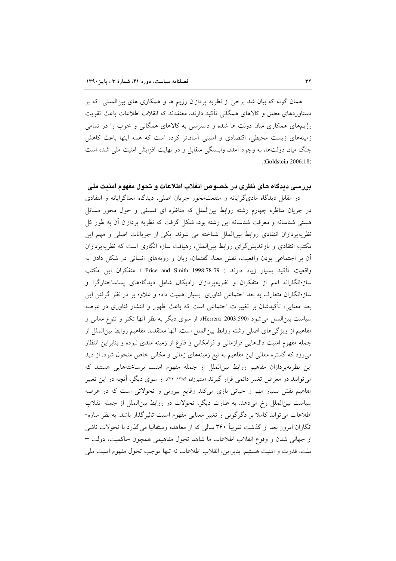همان گونه که بیان شد برخی از نظریه پردازان رژیم ها و همکاری های بین|لمللی که بر دستاوردهای مطلق و کالاهای همگانی تأکید دارند، معتقدند که انقلاب اطلاعات باعث تقویت رژیمهای همکاری میان دولت ها شده و دسترسی به کالاهای همگانی و خوب را در تمامی زمینههای زیست محیطی، اقتصادی و امنیتی آسانتر کرده است که همه اینها باعث کاهش جنگ میان دولتها، به وجود آمدن وابستگی متقابل و در نهایت افزایش امنیت ملی شده است .(Goldstein 2006:18)

## بررسی دیدگاه های نظری در خصوص انقلاب اطلاعات و تحول مفهوم امنیت ملی

در مقابل دیدگاه مادیگرایانه و منفعت محور جریان اصلی، دیدگاه معناگرایانه و انتقادی در جریان مناظره چهارم رشته روابط بین|لملل که مناظره ای فلسفی و حول محور مسائل هستی شناسانه و معرفت شناسانه این رشته بود، شکل گرفت که نظریه پردازان آن به طور کل نظریهپردازان انتقادی روابط بین الملل شناخته می شوند. یکی از جریانات اصلی و مهم این مکتب انتقادی و بازاندیش گرای روابط بین الملل، رهیافت سازه انگاری است که نظریهپردازان آن بر اجتماعی بودن واقعیت، نقش معنا، گفتمان، زبان و رویههای انسانی در شکل دادن به واقعيت تأكيد بسيار زياد دارند ( Price and Smith 1998:78-79 ). متفكران اين مكتب سازهانگارانه اعم از متفکران و نظریهپردازان رادیکال شامل دیدگاههای پساساختارگرا و سازهانگاران متعارف به بعد اجتماعی فناوری بسیار اهمیت داده و علاوه بر در نظر گرفتن این بعد معنایی، تأکیدشان بر تغییرات اجتماعی است که باعث ظهور و انتشار فناوری در عرصه سیاست بین|لملل میشود (590:590 Herrera). از سوی دیگر به نظر آنها تکثر و تنوع معانی و مفاهيم از ويژگيهاي اصلي رشته روابط بين|لملل است. أنها معتقدند مفاهيم روابط بين|لملل از جمله مفهوم امنیت دالهایی فرازمانی و فرامکانی و فارغ از زمینه مندی نبوده و بنابراین انتظار میرود که گستره معانی این مفاهیم به تبع زمینههای زمانی و مکانی خاص متحول شود. از دید این نظریهپردازان مفاهیم روابط بینالملل از جمله مفهوم امنیت برساختههایی هستند که می توانند در معرض تغییر دائمی قرار گیرند (مشیرزاده ۱۳۸۶: ۲۲). از سوی دیگر، آنچه در این تغییر مفاهیم نقش بسیار مهم و حیاتی بازی میکند وقایع بیرونی و تحولاتی است که در عرصه سیاست بینالملل رخ میدهد. به عبارت دیگر، تحولات در روابط بینالملل از جمله انقلاب اطلاعات می تواند کاملا بر دگرگونی و تغییر معنایی مفهوم امنیت تاثیرگذار باشد. به نظر سازه-انگاران امروز بعد از گذشت تقریباً ۳۶۰ سالی که از معاهده وستفالیا می گذرد با تحولات ناشی از جهاني شدن و وقوع انقلاب اطلاعات ما شاهد تحول مفاهيمي همچون حاكميت، دولت – ملت، قدرت و امنيت هستيم. بنابراين، انقلاب اطلاعات نه تنها موجب تحول مفهوم امنيت ملي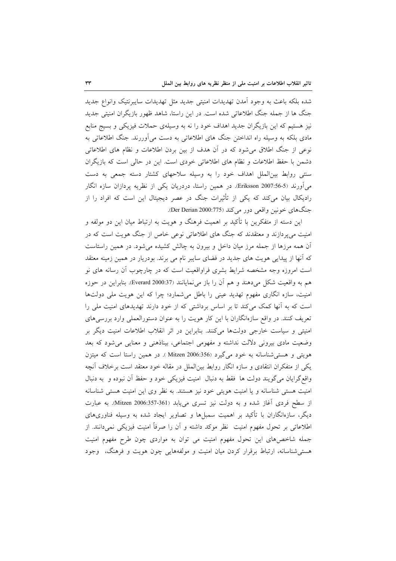شده بلکه باعث به وجود آمدن تهدیدات امنیتی جدید مثل تهدیدات سایبرنتیک وانواع جدید جنگ ها از جمله جنگ اطلاعاتی شده است. در این راستا، شاهد ظهور بازیگران امنیتی جدید نیز هستیم که این بازیگران جدید اهداف خود را نه به وسیلهی حملات فیزیکی و بسیج منابع مادی بلکه به وسیله راه انداختن جنگ های اطلاعاتی به دست میآوررند. جنگ اطلاعاتی به نوعی از جنگ اطلاق می شود که در آن هدف از بین بردن اطلاعات و نظام های اطلاعاتی دشمن با حفظ اطلاعات و نظام های اطلاعاتی خودی است. این در حالی است که بازیگران سنتی روابط بین الملل اهداف خود را به وسیله سلاحهای کشتار دسته جمعی به دست می آورند (5-56:Eriksson 2007). در همین راستا، دردریان یکی از نظریه پردازان سازه انگار رادیکال بیان میکند که یکی از تأثیرات جنگ در عصر دیجیتال این است که افراد را از جنگهاي خونين واقعي دور مي كند (Der Derian 2000:775).

این دسته از متفکرین با تأکید بر اهمیت فرهنگ و هویت به ارتباط میان این دو مولفه و امنیت میپردازند و معتقدند که جنگ های اطلاعاتی نوعی خاص از جنگ هویت است که در آن همه مرزها از جمله مرز میان داخل و بیرون به چالش کشیده میشود. در همین راستاست که آنها از پیدایی هویت های جدید در فضای سایبر نام می برند. بودریار در همین زمینه معتقد است امروزه وجه مشخصه شرایط بشری فراواقعیت است که در چارچوب أن رسانه های نو هم به واقعیت شکل میدهند و هم أن را باز می نمایانند (Everard 2000:37). بنابراین در حوزه امنیت، سازه انگاری مفهوم تهدید عینی را باطل میشمارد؛ چرا که این هویت ملّی دولتها است که به آنها کمک میکند تا بر اساس برداشتی که از خود دارند تهدیدهای امنیت ملی را تعریف کنند. در واقع سازهانگاران با این کار هویت را به عنوان دستورالعملی وارد بررسیهای امنیتی و سیاست خارجی دولتها میکنند. بنابراین در اثر انقلاب اطلاعات امنیت دیگر بر وضعیت مادی بیرونی دلالت نداشته و مفهومی اجتماعی، بیناذهنی و معنایی می شود که بعد هویتی و هستی شناسانه به خود می گیرد Mitzen 2006:356). در همین راستا است که میتزن یکی از متفکران انتقادی و سازه انگار روابط بینالملل در مقاله خود معتقد است برخلاف أنچه واقع گرایان می گویند دولت ها فقط به دنبال امنیت فیزیکی خود و حفظ آن نبوده و به دنبال امنیت هستی شناسانه و یا امنیت هویتی خود نیز هستند. به نظر وی این امنیت هستی شناسانه از سطح فردی آغاز شده و به دولت نیز تسری می یابد (Mitzen 2006:357-361). به عبارت دیگر، سازهانگاران با تأکید بر اهمیت سمبلها و تصاویر ایجاد شده به وسیله فناوریهای اطلاعاتی بر تحول مفهوم امنیت نظر موکد داشته و آن را صرفاً امنیت فیزیکی نمیدانند. از جمله شاخصهای این تحول مفهوم امنیت می توان به مواردی چون طرح مفهوم امنیت هستی شناسانه، ارتباط برقرار کردن میان امنیت و مولفههایی چون هویت و فرهنگ، وجود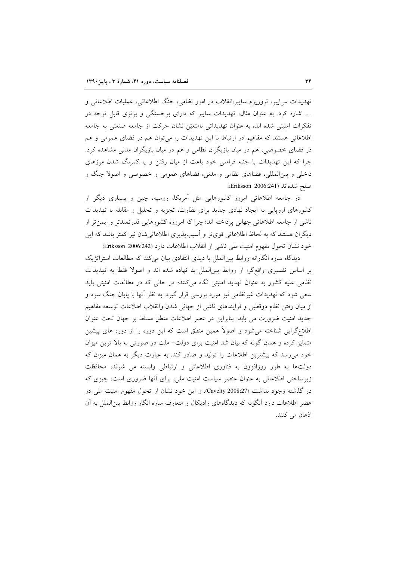تهدیدات س|یبر، تروریزم سایبر،انقلاب در امور نظامی، جنگ اطلاعاتی، عملیات اطلاعاتی و .... اشاره کرد. به عنوان مثال، تهدیدات سایبر که دارای برجستگی و برتری قابل توجه در تفکرات امنیتی شده اند، به عنوان تهدیداتی نامتعیّن نشان حرکت از جامعه صنعتی به جامعه اطلاعاتی هستند که مفاهیم در ارتباط با این تهدیدات را میتوان هم در فضای عمومی و هم در فضای خصوصی، هم در میان بازیگران نظامی و هم در میان بازیگران مدنی مشاهده کرد. چرا که این تهدیدات با جنبه فراملی خود باعث از میان رفتن و یا کمرنگ شدن مرزهای داخلی و بینالمللی، فضاهای نظامی و مدنی، فضاهای عمومی و خصوصی و اصولا جنگ و صلح شدهاند (Eriksson 2006:241).

در جامعه اطلاعاتی امروز کشورهایی مثل آمریکا، روسیه، چین و بسیاری دیگر از کشورهای اروپایی به ایجاد نهادی جدید برای نظارت، تجزیه و تحلیل و مقابله با تهدیدات ناشي از جامعه اطلاعاتي جهاني يرداخته اند؛ چرا كه امروزه كشورهايي قدرتمندتر و ايمن تر از دیگران هستند که به لحاظ اطلاعاتی قویتر و آسیبپذیری اطلاعاتیشان نیز کمتر باشد که این خود نشان تحول مفهوم امنيت ملي ناشي از انقلاب اطلاعات دارد (Eriksson 2006:242).

دیدگاه سازه انگارانه روابط بین الملل با دیدی انتقادی بیان می کند که مطالعات استراتژیک بر اساس تفسیری واقع گرا از روابط بین|لملل بنا نهاده شده اند و اصولا فقط به تهدیدات نظامی علیه کشور به عنوان تهدید امنیتی نگاه میکنند؛ در حالی که در مطالعات امنیتی باید سعی شود که تهدیدات غیرنظامی نیز مورد بررسی قرار گیرد. به نظر أنها با پایان جنگ سرد و از میان رفتن نظام دوقطبی و فرایندهای ناشی از جهانی شدن وانقلاب اطلاعات توسعه مفاهیم جدید امنیت ضرورت می یابد. بنابراین در عصر اطلاعات منطق مسلط بر جهان تحت عنوان اطلاعگرایی شناخته میشود و اصولاً همین منطق است که این دوره را از دوره های پیشین متمایز کرده و همان گونه که بیان شد امنیت برای دولت– ملت در صورتی به بالا ترین میزان خود می رسد که بیشترین اطلاعات را تولید و صادر کند. به عبارت دیگر به همان میزان که دولتها به طور روزافزون به فناوری اطلاعاتی و ارتباطی وابسته می شوند، محافظت زیرساختی اطلاعاتی به عنوان عنصر سیاست امنیت ملی، برای آنها ضروری است، چیزی که در گذشته وجود نداشت (Cavelty 2008:27). و این خود نشان از تحول مفهوم امنیت ملی در عصر اطلاعات دارد آنگونه که دیدگاههای رادیکال و متعارف سازه انگار روابط بینالملل به آن اذعان می کنند.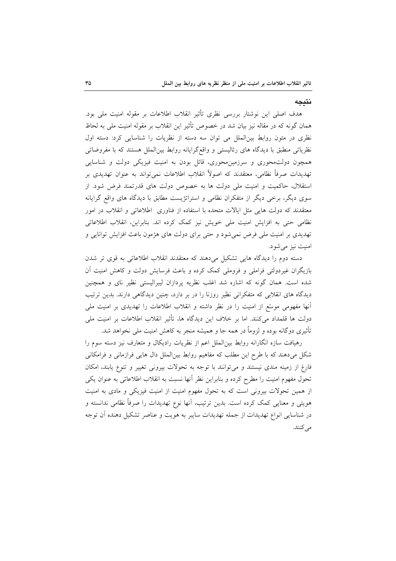#### نتىجە

هدف اصلی این نوشتار بررسی نظری تأثیر انقلاب اطلاعات بر مقوله امنیت ملی بود. همان گونه که در مقاله نیز بیان شد در خصوص تأثیر این انقلاب بر مقوله امنیت ملی به لحاظ نظری در متون روابط بین الملل می توان سه دسته از نظریات را شناسایی کرد: دسته اول نظریاتی منطبق با دیدگاه های رئالیستی و واقع گرایانه روابط بین|لملل هستند که با مفروضاتی همچون دولت محوری و سرزمین محوری، قائل بودن به امنیت فیزیکی دولت و شناسایی تهديدات صرفاً نظامي، معتقدند كه اصولاً انقلاب اطلاعات نميتواند به عنوان تهديدي بر استقلال، حاکمیت و امنیت ملی دولت ها به خصوص دولت های قدرتمند فرض شود. از سوی دیگر، برخی دیگر از متفکران نظامی و استراتژیست مطابق با دیدگاه های واقع گرایانه معتقدند که دولت هایی مثل ایالات متحده با استفاده از فناوری اطلاعاتی و انقلاب در امور نظامی حتی به افزایش امنیت ملی خویش نیز کمک کرده اند. بنابراین، انقلاب اطلاعاتی تهدیدی بر امنیت ملی فرض نمی شود و حتی برای دولت های هژمون باعث افزایش توانایی و امنيت نيز مي شو د.

دسته دوم را دیدگاه هایی تشکیل می دهند که معتقدند انقلاب اطلاعاتی به قوی تر شدن بازیگران غیردولتی فراملی و فروملی کمک کرده و باعث فرسایش دولت و کاهش امنیت آن شده است. همان گونه که اشاره شد اغلب نظریه پردازان لیبرالیستی نظیر نای و همچنین دیدگاه های انقلابی که متفکرانی نظیر روزنا را در بر دارد، چنین دیدگاهی دارند. بدین ترتیب آنها مفهومی موسّع از امنیت را در نظر داشته و انقلاب اطلاعات را تهدیدی بر امنیت ملی دولت ها قلمداد میکنند. اما بر خلاف این دیدگاه ها، تأثیر انقلاب اطلاعات بر امنیت ملی تأثیری دوگانه بوده و لزوماً در همه جا و همیشه منجر به کاهش امنیت ملی نخواهد شد.

رهیافت سازه انگارانه روابط بین|لملل اعم از نظریات رادیکال و متعارف نیز دسته سوم را شکل میدهند که با طرح این مطلب که مفاهیم روابط بینالملل دال هایی فرازمانی و فرامکانی فارغ از زمینه مندی نیستند و میتوانند با توجه به تحولات بیرونی تغییر و تنوع یابند، امکان تحول مفهوم امنیت را مطرح کرده و بنابراین نظر آنها نسبت به انقلاب اطلاعاتی به عنوان یکی از همین تحولات بیرونی است که به تحول مفهوم امنیت از امنیت فیزیکی و مادی به امنیت هویتی و معنایی کمک کرده است. بدین ترتیب، آنها نوع تهدیدات را صرفاً نظامی ندانسته و در شناسایی انواع تهدیدات از جمله تهدیدات سایبر به هویت و عناصر تشکیل دهنده آن توجه مے کنند.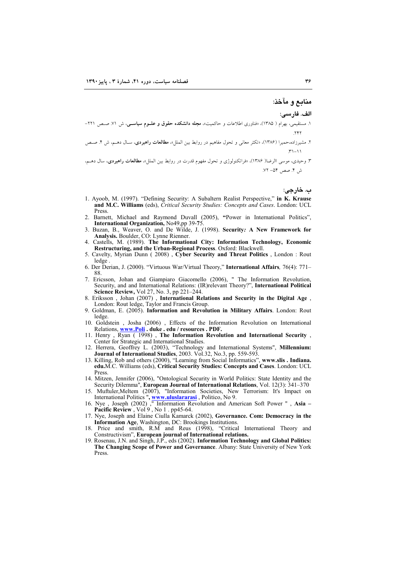منابع و مآخذ:

الف. فارسي:

- ۱. مستقیمی، بهرام ( ۱۳۸۵)، «فناوری اطلاعات و حاکمیت»، **مجله دانشکده حقوق و علــوم سیاســی**، ش ۷۱. صــص ۲۲۱-
- ۲. مشیرزاده،حمیرا (۱۳۸۶)، «تکثر معانی و تحول مفاهیم در روابط بین الملل»، **مطالعات راهبردی**، سـال دهـم، ش ۴. صـص
- ۳. وحیدی، موسی االرضا( ۱۳۸۶)، «فراتکنولوژی و تحول مفهوم قدرت در روابط بین الملل»، **مطالعات راهبردی**، سال دهــم، ش ۴. صص ۵۴– ۷۲.

ب. خارجي:

- 1. Ayoob, M. (1997). "Defining Security: A Subaltern Realist Perspective," in K. Krause and M.C. Williams (eds), Critical Security Studies: Concepts and Cases. London: UCL Press
- 2. Barnett, Michael and Raymond Duvall (2005), "Power in International Politics", International Organization, No49,pp 39-75.
- 3. Buzan, B., Weaver, O. and De Wilde, J. (1998). Security: A New Framework for Analysis. Boulder, CO: Lynne Rienner.
- 4. Castells, M. (1989). The Informational City: Information Technology, Economic Restructuring, and the Urban-Regional Process. Oxford: Blackwell.
- 5. Cavelty, Myrian Dunn (2008), Cyber Security and Threat Politics, London: Rout ledge
- 6. Der Derian, J. (2000). "Virtuous War/Virtual Theory," International Affairs, 76(4): 771– 88.
- 7. Ericsson, Johan and Giampiaro Giacomello (2006), " The Information Revolution. Security, and and International Relations: (IR) relevant Theory?", International Political Science Review, Vol 27, No. 3, pp 221-244.
- 8. Eriksson, Johan (2007), International Relations and Security in the Digital Age, London: Rout ledge, Taylor and Francis Group.
- 9. Goldman, E. (2005). Information and Revolution in Military Affairs. London: Rout ledge.
- 10. Goldstein, Josha (2006), Effects of the Information Revolution on International Relations, www.Poli . duke . edu / resources . PDF.
- 11. Henry, Ryan (1998), The Information Revolution and International Security, Center for Strategic and International Studies.
- 12. Herrera, Geoffrey L. (2003), "Technology and International Systems", **Millennium:**<br>Journal of International Studies, 2003. Vol.32, No.3, pp. 559-593.
- 13. Killing, Rob and others (2000), "Learning from Social Informatics", www.slis. Indiana. edu.M.C. Williams (eds), Critical Security Studies: Concepts and Cases. London: UCL **Press**
- 14. Mitzen, Jennifer (2006), "Ontological Security in World Politics: State Identity and the Security Dilemma", European Journal of International Relations, Vol. 12(3): 341-370
- 15. Muftuler, Meltem (2007), "Information Societies, New Terrorism: It's Impact on
- International Politics ", www.uluslararasi, Politico, No 9.<br>16. Nye , Joseph (2002) , "Information Revolution and American Soft Power ", Asia –<br>Pacific Review, Vol 9, No 1. pp45-64.
- 17. Nye, Joseph and Elaine Ciulla Kamarck (2002), Governance. Com: Democracy in the Information Age, Washington, DC: Brookings Institutions.
- 18. Price and smith, R.M and Reus (1998), "Critical International Theory and Constructivism", European journal of International relations.
- 19. Rosenau, J.N. and Singh, J.P., eds (2002). Information Technology and Global Politics: The Changing Scope of Power and Governance. Albany: State University of New York Press.